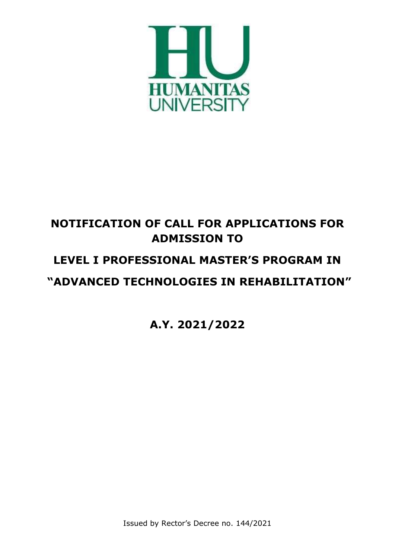

# **NOTIFICATION OF CALL FOR APPLICATIONS FOR ADMISSION TO**

## **LEVEL I PROFESSIONAL MASTER'S PROGRAM IN**

## **"ADVANCED TECHNOLOGIES IN REHABILITATION"**

**A.Y. 2021/2022**

Issued by Rector's Decree no. 144/2021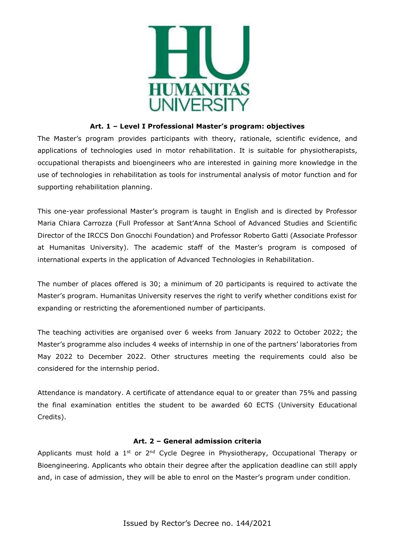

#### **Art. 1 – Level I Professional Master's program: objectives**

The Master's program provides participants with theory, rationale, scientific evidence, and applications of technologies used in motor rehabilitation. It is suitable for physiotherapists, occupational therapists and bioengineers who are interested in gaining more knowledge in the use of technologies in rehabilitation as tools for instrumental analysis of motor function and for supporting rehabilitation planning.

This one-year professional Master's program is taught in English and is directed by Professor Maria Chiara Carrozza (Full Professor at Sant'Anna School of Advanced Studies and Scientific Director of the IRCCS Don Gnocchi Foundation) and Professor Roberto Gatti (Associate Professor at Humanitas University). The academic staff of the Master's program is composed of international experts in the application of Advanced Technologies in Rehabilitation.

The number of places offered is 30; a minimum of 20 participants is required to activate the Master's program. Humanitas University reserves the right to verify whether conditions exist for expanding or restricting the aforementioned number of participants.

The teaching activities are organised over 6 weeks from January 2022 to October 2022; the Master's programme also includes 4 weeks of internship in one of the partners' laboratories from May 2022 to December 2022. Other structures meeting the requirements could also be considered for the internship period.

Attendance is mandatory. A certificate of attendance equal to or greater than 75% and passing the final examination entitles the student to be awarded 60 ECTS (University Educational Credits).

## **Art. 2 – General admission criteria**

Applicants must hold a 1<sup>st</sup> or 2<sup>nd</sup> Cycle Degree in Physiotherapy, Occupational Therapy or Bioengineering. Applicants who obtain their degree after the application deadline can still apply and, in case of admission, they will be able to enrol on the Master's program under condition.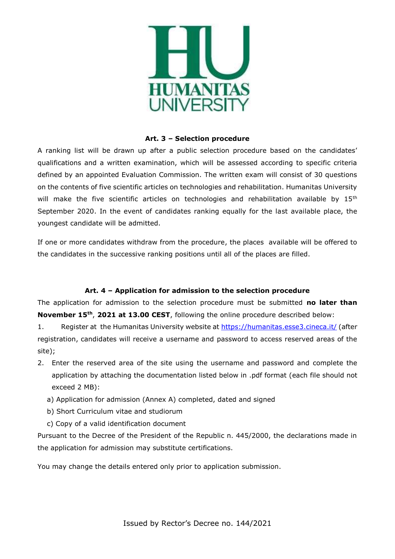

## **Art. 3 – Selection procedure**

A ranking list will be drawn up after a public selection procedure based on the candidates' qualifications and a written examination, which will be assessed according to specific criteria defined by an appointed Evaluation Commission. The written exam will consist of 30 questions on the contents of five scientific articles on technologies and rehabilitation. Humanitas University will make the five scientific articles on technologies and rehabilitation available by 15<sup>th</sup> September 2020. In the event of candidates ranking equally for the last available place, the youngest candidate will be admitted.

If one or more candidates withdraw from the procedure, the places available will be offered to the candidates in the successive ranking positions until all of the places are filled.

## **Art. 4 – Application for admission to the selection procedure**

The application for admission to the selection procedure must be submitted **no later than November 15th** , **2021 at 13.00 CEST**, following the online procedure described below:

1. Register at the Humanitas University website at <https://humanitas.esse3.cineca.it/> (after registration, candidates will receive a username and password to access reserved areas of the site);

- 2. Enter the reserved area of the site using the username and password and complete the application by attaching the documentation listed below in .pdf format (each file should not exceed 2 MB):
	- a) Application for admission (Annex A) completed, dated and signed
	- b) Short Curriculum vitae and studiorum
	- c) Copy of a valid identification document

Pursuant to the Decree of the President of the Republic n. 445/2000, the declarations made in the application for admission may substitute certifications.

You may change the details entered only prior to application submission.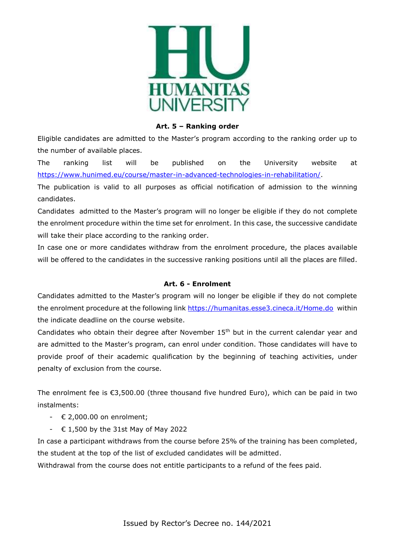

#### **Art. 5 – Ranking order**

Eligible candidates are admitted to the Master's program according to the ranking order up to the number of available places.

The ranking list will be published on the University website at [https://www.hunimed.eu/course/master-in-advanced-technologies-in-rehabilitation/.](https://www.hunimed.eu/course/master-in-advanced-technologies-in-rehabilitation/)

The publication is valid to all purposes as official notification of admission to the winning candidates.

Candidates admitted to the Master's program will no longer be eligible if they do not complete the enrolment procedure within the time set for enrolment. In this case, the successive candidate will take their place according to the ranking order.

In case one or more candidates withdraw from the enrolment procedure, the places available will be offered to the candidates in the successive ranking positions until all the places are filled.

## **Art. 6 - Enrolment**

Candidates admitted to the Master's program will no longer be eligible if they do not complete the enrolment procedure at the following link<https://humanitas.esse3.cineca.it/Home.do> within the indicate deadline on the course website.

Candidates who obtain their degree after November 15<sup>th</sup> but in the current calendar year and are admitted to the Master's program, can enrol under condition. Those candidates will have to provide proof of their academic qualification by the beginning of teaching activities, under penalty of exclusion from the course.

The enrolment fee is  $\epsilon$ 3,500.00 (three thousand five hundred Euro), which can be paid in two instalments:

- $\leftarrow \epsilon$  2,000.00 on enrolment;
- $\div$  € 1,500 by the 31st May of May 2022

In case a participant withdraws from the course before 25% of the training has been completed, the student at the top of the list of excluded candidates will be admitted.

Withdrawal from the course does not entitle participants to a refund of the fees paid.